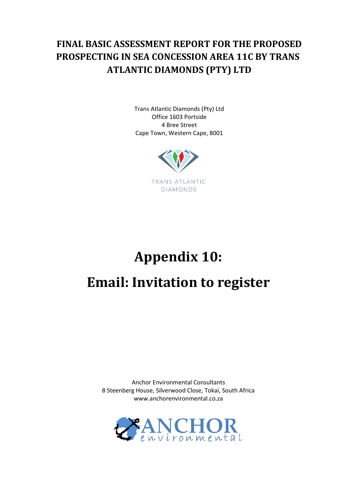# **FINAL BASIC ASSESSMENT REPORT FOR THE PROPOSED PROSPECTING IN SEA CONCESSION AREA 11C BY TRANS ATLANTIC DIAMONDS (PTY) LTD**

Trans Atlantic Diamonds (Pty) Ltd Office 1603 Portside 4 Bree Street Cape Town, Western Cape, 8001



# **Appendix 10: Email: Invitation to register**

Anchor Environmental Consultants 8 Steenberg House, Silverwood Close, Tokai, South Africa www.anchorenvironmental.co.za

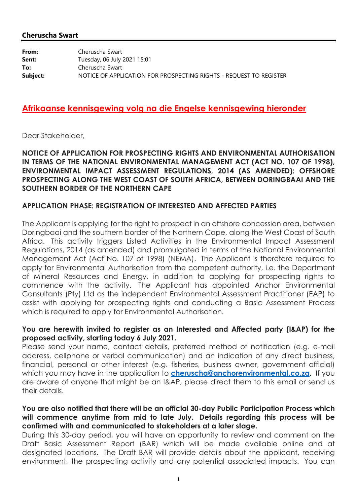#### **Cheruscha Swart**

| From:    | Cheruscha Swart                                                    |
|----------|--------------------------------------------------------------------|
| Sent:    | Tuesday, 06 July 2021 15:01                                        |
| To:      | Cheruscha Swart                                                    |
| Subject: | NOTICE OF APPLICATION FOR PROSPECTING RIGHTS - REQUEST TO REGISTER |

#### **Afrikaanse kennisgewing volg na die Engelse kennisgewing hieronder**

Dear Stakeholder,

#### **NOTICE OF APPLICATION FOR PROSPECTING RIGHTS AND ENVIRONMENTAL AUTHORISATION IN TERMS OF THE NATIONAL ENVIRONMENTAL MANAGEMENT ACT (ACT NO. 107 OF 1998), ENVIRONMENTAL IMPACT ASSESSMENT REGULATIONS, 2014 (AS AMENDED): OFFSHORE PROSPECTING ALONG THE WEST COAST OF SOUTH AFRICA, BETWEEN DORINGBAAI AND THE SOUTHERN BORDER OF THE NORTHERN CAPE**

#### **APPLICATION PHASE: REGISTRATION OF INTERESTED AND AFFECTED PARTIES**

The Applicant is applying for the right to prospect in an offshore concession area, between Doringbaai and the southern border of the Northern Cape, along the West Coast of South Africa. This activity triggers Listed Activities in the Environmental Impact Assessment Regulations, 2014 (as amended) and promulgated in terms of the National Environmental Management Act (Act No. 107 of 1998) (NEMA). The Applicant is therefore required to apply for Environmental Authorisation from the competent authority, i.e. the Department of Mineral Resources and Energy, in addition to applying for prospecting rights to commence with the activity. The Applicant has appointed Anchor Environmental Consultants (Pty) Ltd as the independent Environmental Assessment Practitioner (EAP) to assist with applying for prospecting rights and conducting a Basic Assessment Process which is required to apply for Environmental Authorisation.

#### **You are herewith invited to register as an Interested and Affected party (I&AP) for the proposed activity, starting today 6 July 2021.**

Please send your name, contact details, preferred method of notification (e.g. e-mail address, cellphone or verbal communication) and an indication of any direct business, financial, personal or other interest (e.g. fisheries, business owner, government official) which you may have in the application to **cheruscha@anchorenvironmental.co.za.** If you are aware of anyone that might be an I&AP, please direct them to this email or send us their details.

#### **You are also notified that there will be an official 30-day Public Participation Process which will commence anytime from mid to late July. Details regarding this process will be confirmed with and communicated to stakeholders at a later stage.**

During this 30-day period, you will have an opportunity to review and comment on the Draft Basic Assessment Report (BAR) which will be made available online and at designated locations. The Draft BAR will provide details about the applicant, receiving environment, the prospecting activity and any potential associated impacts. You can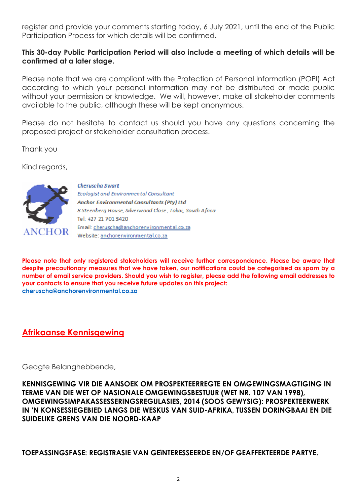register and provide your comments starting today, 6 July 2021, until the end of the Public Participation Process for which details will be confirmed.

#### **This 30-day Public Participation Period will also include a meeting of which details will be confirmed at a later stage.**

Please note that we are compliant with the Protection of Personal Information (POPI) Act according to which your personal information may not be distributed or made public without your permission or knowledge. We will, however, make all stakeholder comments available to the public, although these will be kept anonymous.

Please do not hesitate to contact us should you have any questions concerning the proposed project or stakeholder consultation process.

Thank you

Kind regards,



**Cheruscha Swart** Ecologist and Environmental Consultant Anchor Environmental Consultants (Pty) Ltd 8 Steenberg House, Silverwood Close, Tokai, South Africa Tel: +27 21 701 3420 Email: cheruscha@anchorenvironmental.co.za Website: anchorenvironmental.co.za

**Please note that only registered stakeholders will receive further correspondence. Please be aware that despite precautionary measures that we have taken, our notifications could be categorised as spam by a number of email service providers. Should you wish to register, please add the following email addresses to your contacts to ensure that you receive future updates on this project: cheruscha@anchorenvironmental.co.za**

### **Afrikaanse Kennisgewing**

Geagte Belanghebbende,

**KENNISGEWING VIR DIE AANSOEK OM PROSPEKTEERREGTE EN OMGEWINGSMAGTIGING IN TERME VAN DIE WET OP NASIONALE OMGEWINGSBESTUUR (WET NR. 107 VAN 1998), OMGEWINGSIMPAKASSESSERINGSREGULASIES, 2014 (SOOS GEWYSIG): PROSPEKTEERWERK IN 'N KONSESSIEGEBIED LANGS DIE WESKUS VAN SUID-AFRIKA, TUSSEN DORINGBAAI EN DIE SUIDELIKE GRENS VAN DIE NOORD-KAAP**

**TOEPASSINGSFASE: REGISTRASIE VAN GEïNTERESSEERDE EN/OF GEAFFEKTEERDE PARTYE.**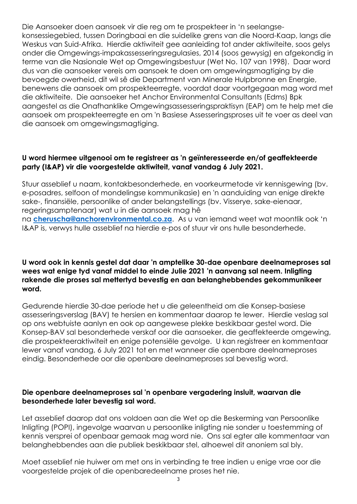Die Aansoeker doen aansoek vir die reg om te prospekteer in 'n seelangsekonsessiegebied, tussen Doringbaai en die suidelike grens van die Noord-Kaap, langs die Weskus van Suid-Afrika. Hierdie aktiwiteit gee aanleiding tot ander aktiwiteite, soos gelys onder die Omgewings-impakassesseringsregulasies, 2014 (soos gewysig) en afgekondig in terme van die Nasionale Wet op Omgewingsbestuur (Wet No. 107 van 1998). Daar word dus van die aansoeker vereis om aansoek te doen om omgewingsmagtiging by die bevoegde owerheid, dit wil sê die Department van Minerale Hulpbronne en Energie, benewens die aansoek om prospekteerregte, voordat daar voortgegaan mag word met die aktiwiteite. Die aansoeker het Anchor Environmental Consultants (Edms) Bpk aangestel as die Onafhanklike Omgewingsassesseringspraktisyn (EAP) om te help met die aansoek om prospekteerregte en om 'n Basiese Assesseringsproses uit te voer as deel van die aansoek om omgewingsmagtiging.

#### **U word hiermee uitgenooi om te registreer as 'n geïnteresseerde en/of geaffekteerde party (I&AP) vir die voorgestelde aktiwiteit, vanaf vandag 6 July 2021.**

Stuur asseblief u naam, kontakbesonderhede, en voorkeurmetode vir kennisgewing (bv. e-posadres, selfoon of mondelingse kommunikasie) en 'n aanduiding van enige direkte sake-, finansiële, persoonlike of ander belangstellings (bv. Visserye, sake-eienaar, regeringsamptenaar) wat u in die aansoek mag hê na **cheruscha@anchorenvironmental.co.za**. As u van iemand weet wat moontlik ook 'n I&AP is, verwys hulle asseblief na hierdie e-pos of stuur vir ons hulle besonderhede.

#### **U word ook in kennis gestel dat daar 'n amptelike 30-dae openbare deelnameproses sal wees wat enige tyd vanaf middel to einde Julie 2021 'n aanvang sal neem. Inligting rakende die proses sal mettertyd bevestig en aan belanghebbendes gekommunikeer word.**

Gedurende hierdie 30-dae periode het u die geleentheid om die Konsep-basiese assesseringsverslag (BAV) te hersien en kommentaar daarop te lewer. Hierdie veslag sal op ons webtuiste aanlyn en ook op aangewese plekke beskikbaar gestel word. Die Konsep-BAV sal besonderhede verskaf oor die aansoeker, die geaffekteerde omgewing, die prospekteeraktiwiteit en enige potensiële gevolge. U kan registreer en kommentaar lewer vanaf vandag, 6 July 2021 tot en met wanneer die openbare deelnameproses eindig. Besonderhede oor die openbare deelnameproses sal bevestig word.

#### **Die openbare deelnameproses sal 'n openbare vergadering insluit, waarvan die besonderhede later bevestig sal word.**

Let asseblief daarop dat ons voldoen aan die Wet op die Beskerming van Persoonlike Inligting (POPI), ingevolge waarvan u persoonlike inligting nie sonder u toestemming of kennis versprei of openbaar gemaak mag word nie. Ons sal egter alle kommentaar van belanghebbendes aan die publiek beskikbaar stel, alhoewel dit anoniem sal bly.

Moet asseblief nie huiwer om met ons in verbinding te tree indien u enige vrae oor die voorgestelde projek of die openbaredeelname proses het nie.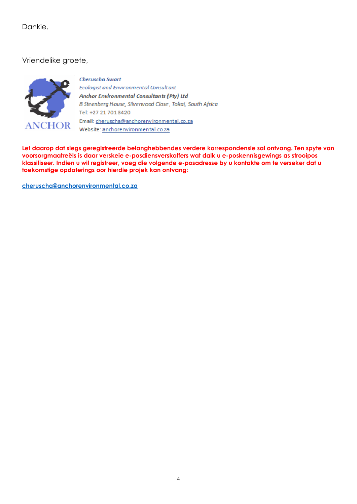Dankie.

Vriendelike groete,



#### **Cheruscha Swart**

Ecologist and Environmental Consultant Anchor Environmental Consultants (Pty) Ltd 8 Steenberg House, Silverwood Close, Tokai, South Africa Tel: +27 21 701 3420 Email: cheruscha@anchorenvironmental.co.za Website: anchorenvironmental.co.za

**Let daarop dat slegs geregistreerde belanghebbendes verdere korrespondensie sal ontvang. Ten spyte van voorsorgmaatreëls is daar verskeie e-posdiensverskaffers wat dalk u e-poskennisgewings as strooipos klassifiseer. Indien u wil registreer, voeg die volgende e-posadresse by u kontakte om te verseker dat u toekomstige opdaterings oor hierdie projek kan ontvang:**

**cheruscha@anchorenvironmental.co.za**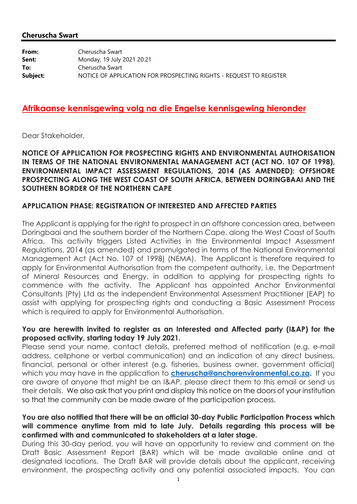#### **Cheruscha Swart**

| From:    | Cheruscha Swart                                                    |
|----------|--------------------------------------------------------------------|
| Sent:    | Monday, 19 July 2021 20:21                                         |
| To:      | Cheruscha Swart                                                    |
| Subject: | NOTICE OF APPLICATION FOR PROSPECTING RIGHTS - REQUEST TO REGISTER |

#### **Afrikaanse kennisgewing volg na die Engelse kennisgewing hieronder**

Dear Stakeholder,

#### **NOTICE OF APPLICATION FOR PROSPECTING RIGHTS AND ENVIRONMENTAL AUTHORISATION IN TERMS OF THE NATIONAL ENVIRONMENTAL MANAGEMENT ACT (ACT NO. 107 OF 1998), ENVIRONMENTAL IMPACT ASSESSMENT REGULATIONS, 2014 (AS AMENDED): OFFSHORE PROSPECTING ALONG THE WEST COAST OF SOUTH AFRICA, BETWEEN DORINGBAAI AND THE SOUTHERN BORDER OF THE NORTHERN CAPE**

#### **APPLICATION PHASE: REGISTRATION OF INTERESTED AND AFFECTED PARTIES**

The Applicant is applying for the right to prospect in an offshore concession area, between Doringbaai and the southern border of the Northern Cape, along the West Coast of South Africa. This activity triggers Listed Activities in the Environmental Impact Assessment Regulations, 2014 (as amended) and promulgated in terms of the National Environmental Management Act (Act No. 107 of 1998) (NEMA). The Applicant is therefore required to apply for Environmental Authorisation from the competent authority, i.e. the Department of Mineral Resources and Energy, in addition to applying for prospecting rights to commence with the activity. The Applicant has appointed Anchor Environmental Consultants (Pty) Ltd as the independent Environmental Assessment Practitioner (EAP) to assist with applying for prospecting rights and conducting a Basic Assessment Process which is required to apply for Environmental Authorisation.

#### **You are herewith invited to register as an Interested and Affected party (I&AP) for the proposed activity, starting today 19 July 2021.**

Please send your name, contact details, preferred method of notification (e.g. e-mail address, cellphone or verbal communication) and an indication of any direct business, financial, personal or other interest (e.g. fisheries, business owner, government official) which you may have in the application to **cheruscha@anchorenvironmental.co.za.** If you are aware of anyone that might be an I&AP, please direct them to this email or send us their details. We also ask that you print and display this notice on the doors of your institution so that the community can be made aware of the participation process.

#### **You are also notified that there will be an official 30-day Public Participation Process which will commence anytime from mid to late July. Details regarding this process will be confirmed with and communicated to stakeholders at a later stage.**

During this 30-day period, you will have an opportunity to review and comment on the Draft Basic Assessment Report (BAR) which will be made available online and at designated locations. The Draft BAR will provide details about the applicant, receiving environment, the prospecting activity and any potential associated impacts. You can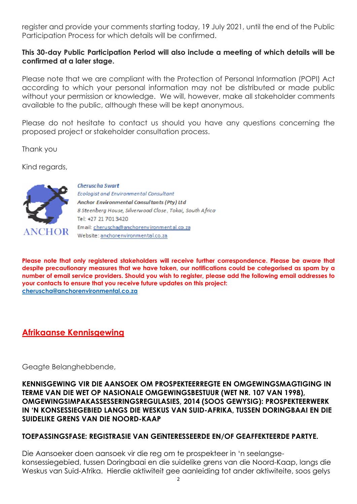register and provide your comments starting today, 19 July 2021, until the end of the Public Participation Process for which details will be confirmed.

#### **This 30-day Public Participation Period will also include a meeting of which details will be confirmed at a later stage.**

Please note that we are compliant with the Protection of Personal Information (POPI) Act according to which your personal information may not be distributed or made public without your permission or knowledge. We will, however, make all stakeholder comments available to the public, although these will be kept anonymous.

Please do not hesitate to contact us should you have any questions concerning the proposed project or stakeholder consultation process.

Thank you

Kind regards,



**Cheruscha Swart** Ecologist and Environmental Consultant Anchor Environmental Consultants (Pty) Ltd 8 Steenberg House, Silverwood Close, Tokai, South Africa Tel: +27 21 701 3420 Email: cheruscha@anchorenvironmental.co.za Website: anchorenvironmental.co.za

**Please note that only registered stakeholders will receive further correspondence. Please be aware that despite precautionary measures that we have taken, our notifications could be categorised as spam by a number of email service providers. Should you wish to register, please add the following email addresses to your contacts to ensure that you receive future updates on this project: cheruscha@anchorenvironmental.co.za**

## **Afrikaanse Kennisgewing**

Geagte Belanghebbende,

**KENNISGEWING VIR DIE AANSOEK OM PROSPEKTEERREGTE EN OMGEWINGSMAGTIGING IN TERME VAN DIE WET OP NASIONALE OMGEWINGSBESTUUR (WET NR. 107 VAN 1998), OMGEWINGSIMPAKASSESSERINGSREGULASIES, 2014 (SOOS GEWYSIG): PROSPEKTEERWERK IN 'N KONSESSIEGEBIED LANGS DIE WESKUS VAN SUID-AFRIKA, TUSSEN DORINGBAAI EN DIE SUIDELIKE GRENS VAN DIE NOORD-KAAP**

#### **TOEPASSINGSFASE: REGISTRASIE VAN GEïNTERESSEERDE EN/OF GEAFFEKTEERDE PARTYE.**

Die Aansoeker doen aansoek vir die reg om te prospekteer in 'n seelangsekonsessiegebied, tussen Doringbaai en die suidelike grens van die Noord-Kaap, langs die Weskus van Suid-Afrika. Hierdie aktiwiteit gee aanleiding tot ander aktiwiteite, soos gelys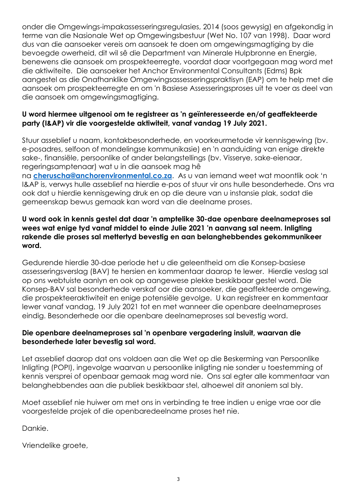onder die Omgewings-impakassesseringsregulasies, 2014 (soos gewysig) en afgekondig in terme van die Nasionale Wet op Omgewingsbestuur (Wet No. 107 van 1998). Daar word dus van die aansoeker vereis om aansoek te doen om omgewingsmagtiging by die bevoegde owerheid, dit wil sê die Department van Minerale Hulpbronne en Energie, benewens die aansoek om prospekteerregte, voordat daar voortgegaan mag word met die aktiwiteite. Die aansoeker het Anchor Environmental Consultants (Edms) Bpk aangestel as die Onafhanklike Omgewingsassesseringspraktisyn (EAP) om te help met die aansoek om prospekteerregte en om 'n Basiese Assesseringsproses uit te voer as deel van die aansoek om omgewingsmagtiging.

#### **U word hiermee uitgenooi om te registreer as 'n geïnteresseerde en/of geaffekteerde party (I&AP) vir die voorgestelde aktiwiteit, vanaf vandag 19 July 2021.**

Stuur asseblief u naam, kontakbesonderhede, en voorkeurmetode vir kennisgewing (bv. e-posadres, selfoon of mondelingse kommunikasie) en 'n aanduiding van enige direkte sake-, finansiële, persoonlike of ander belangstellings (bv. Visserye, sake-eienaar, regeringsamptenaar) wat u in die aansoek mag hê

na **cheruscha@anchorenvironmental.co.za**. As u van iemand weet wat moontlik ook 'n I&AP is, verwys hulle asseblief na hierdie e-pos of stuur vir ons hulle besonderhede. Ons vra ook dat u hierdie kennisgewing druk en op die deure van u instansie plak, sodat die gemeenskap bewus gemaak kan word van die deelname proses.

#### **U word ook in kennis gestel dat daar 'n amptelike 30-dae openbare deelnameproses sal wees wat enige tyd vanaf middel to einde Julie 2021 'n aanvang sal neem. Inligting rakende die proses sal mettertyd bevestig en aan belanghebbendes gekommunikeer word.**

Gedurende hierdie 30-dae periode het u die geleentheid om die Konsep-basiese assesseringsverslag (BAV) te hersien en kommentaar daarop te lewer. Hierdie veslag sal op ons webtuiste aanlyn en ook op aangewese plekke beskikbaar gestel word. Die Konsep-BAV sal besonderhede verskaf oor die aansoeker, die geaffekteerde omgewing, die prospekteeraktiwiteit en enige potensiële gevolge. U kan registreer en kommentaar lewer vanaf vandag, 19 July 2021 tot en met wanneer die openbare deelnameproses eindig. Besonderhede oor die openbare deelnameproses sal bevestig word.

#### **Die openbare deelnameproses sal 'n openbare vergadering insluit, waarvan die besonderhede later bevestig sal word.**

Let asseblief daarop dat ons voldoen aan die Wet op die Beskerming van Persoonlike Inligting (POPI), ingevolge waarvan u persoonlike inligting nie sonder u toestemming of kennis versprei of openbaar gemaak mag word nie. Ons sal egter alle kommentaar van belanghebbendes aan die publiek beskikbaar stel, alhoewel dit anoniem sal bly.

Moet asseblief nie huiwer om met ons in verbinding te tree indien u enige vrae oor die voorgestelde projek of die openbaredeelname proses het nie.

Dankie.

Vriendelike groete,